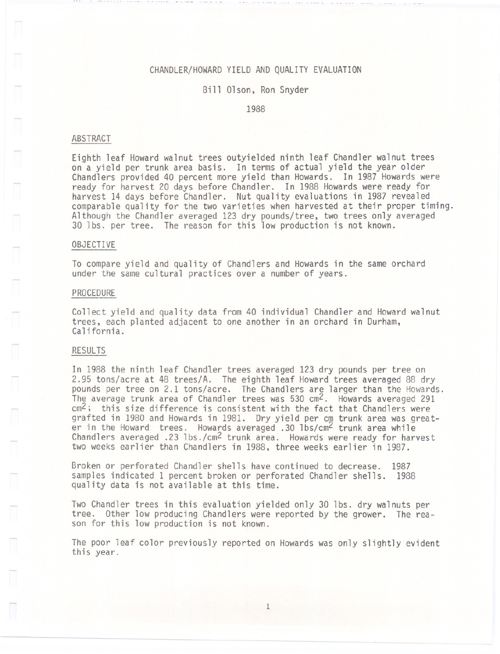### CHANDLER/HOWARD YIELD AND QUALITY EVALUATION

#### Bill Olson, Ron Snyder

1988

#### ABSTRACT

Eighth leaf Howard walnut trees out yielded ninth leaf Chandler walnut trees on a yield per trunk area basis. In terms of actual yield the year older Chandlers provided 40 percent more yield than Howards. In 1987 Howards were ready for harvest 20 days before Chandler. In 1988 Howards were ready for harvest 14 days before Chandler. Nut quality evaluations in 1987 revealed comparable quality for the two varieties when harvested at their proper timing. Although the Chandler averaged 123 dry pounds/tree, two trees only averaged 30 lbs. per tree. The reason for this low production is not known.

#### OBJECTIVE

To compare yield and quality of Chandlers and Howards in the same orchard under the same cultural practices over a number of years.

#### PROCEDURE

Collect yield and quality data from 40 individual Chandler and Howard walnut trees, each planted adjacent to one another in an orchard in Durham, California.

#### RESULTS

- ---

In 1988 the ninth leaf Chandler trees averaged 123 dry pounds per tree on 2.95 tons/acre at 48 trees/A. The eighth leaf Howard trees averaged 88 dry pounds per tree on 2.1 tons/acre. The Chandlers are larger than the Howards. The average trunk area of Chandler trees was 530  $\text{cm}^2$ . Howards averaged 291  $cm^2$ ; this size difference is consistent with the fact that Chandlers were grafted in 1980 and Howards in 1981. Dry yield per cm trunk area was greater in the Howard trees. Howards averaged .30 lbs/cm<sup>2</sup> trunk area while Chandlers averaged .23 lbs./cm2 trunk area. Howards were ready for harvest two weeks earlier than Chandlers in 1988, three weeks earlier in 1987.

Broken or perforated Chandler shells have continued to decrease. 1987 samples indicated 1 percent broken or perforated Chandler shells. 1988 quality data is not available at this time.

Two Chandler trees in this evaluation yielded only 30 lbs. dry walnuts per tree. Other low producing Chandlers were reported by the grower. The reason for this low production is not known.

The poor leaf color previously reported on Howards was only slightly evident this year.